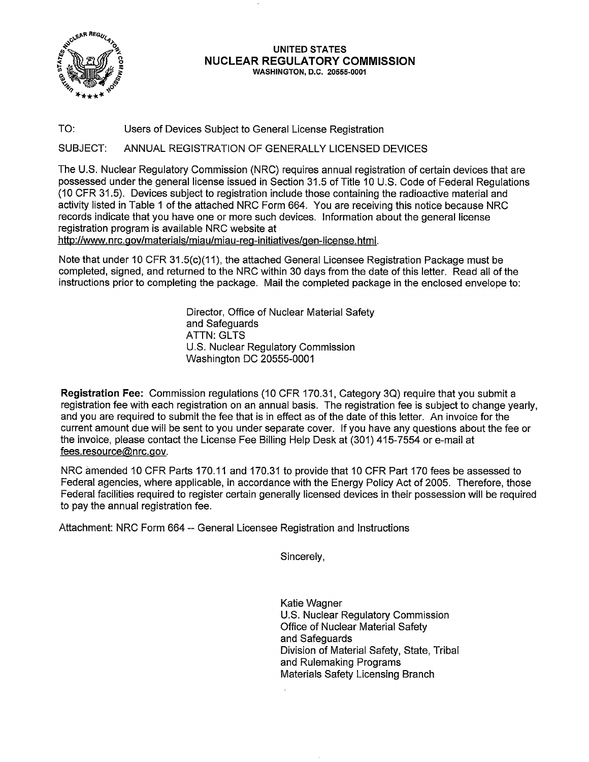

### **UNITED STATES NUCLEAR REGULATORY COMMISSION WASHINGTON, D.C. 20555-0001**

TO: Users of Devices Subject to General License Registration

SUBJECT: ANNUAL REGISTRATION OF GENERALLY LICENSED DEVICES

The U.S. Nuclear Regulatory Commission (NRC) requires annual registration of certain devices that are possessed under the general license issued in Section 31.5 of Title 10 U.S. Code of Federal Regulations (10 CFR 31.5). Devices subject to registration include those containing the radioactive material and activity listed in Table 1 of the attached NRC Form 664. You are receiving this notice because NRC records indicate that you have one or more such devices. Information about the general license registration program is available NRC website at

http://www.nrc.gov/materials/miau/miau-reg-initiatives/gen-license. html.

Note that under 10 CFR 31.5(c)(11), the attached General Licensee Registration Package must be completed, signed, and returned to the NRC within 30 days from the date of this letter. Read all of the instructions prior to completing the package. Mail the completed package in the enclosed envelope to:

> Director, Office of Nuclear Material Safety and Safeguards **ATTN: GLTS** U.S. Nuclear Regulatory Commission Washington DC 20555-0001

**Registration Fee:** Commission regulations (10 CFR 170.31, Category 3Q) require that you submit a registration fee with each registration on an annual basis. The registration fee is subject to change yearly, and you are required to submit the fee that is in effect as of the date of this letter. An invoice for the current amount due will be sent to you under separate cover. If you have any questions about the fee or the invoice, please contact the License Fee Billing Help Desk at (301) 415-7554 or e-mail at fees.resource@nrc.gov.

NRC amended 10 CFR Parts 170.11 and 170.31 to provide that 10 CFR Part 170 fees be assessed to Federal agencies, where applicable, in accordance with the Energy Policy Act of 2005. Therefore, those Federal facilities required to register certain generally licensed devices in their possession will be required to pay the annual registration fee.

Attachment: NRC Form 664 -- General Licensee Registration and Instructions

Sincerely,

Katie Wagner U.S. Nuclear Regulatory Commission Office of Nuclear Material Safety and Safeguards Division of Material Safety, State, Tribal and Rulemaking Programs Materials Safety Licensing Branch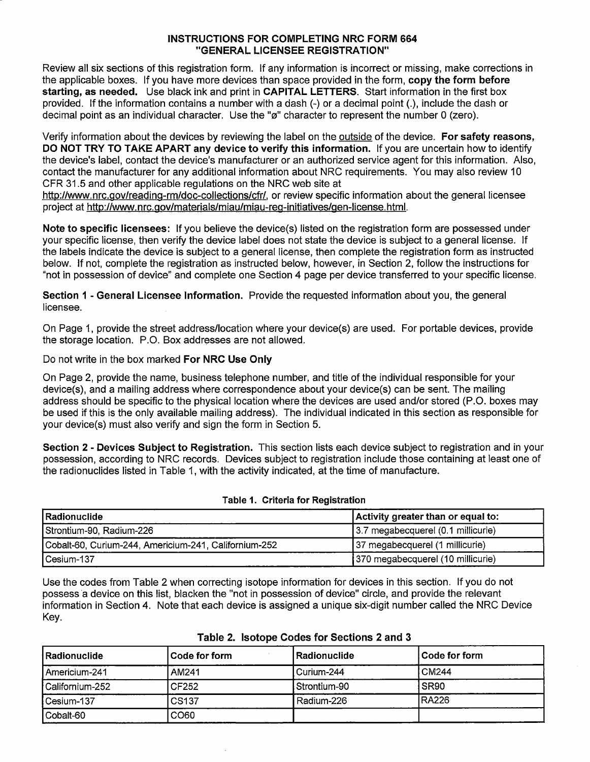# **INSTRUCTIONS FOR COMPLETING NRC FORM 664 "GENERAL LICENSEE REGISTRATION"**

Review all six sections of this registration form. If any information is incorrect or missing, make corrections in the applicable boxes. If you have more devices than space provided in the form, **copy the form before starting, as needed.** Use black ink and print in **CAPITAL LETTERS.** Start information in the first box provided. If the information contains a number with a dash (-) or a decimal point(.), include the dash or decimal point as an individual character. Use the "ø" character to represent the number 0 (zero).

Verify information about the devices by reviewing the label on the outside of the device. **For safety reasons, DO NOT TRY TO TAKE APART any device to verify this information.** If you are uncertain how to identify the device's label, contact the device's manufacturer or an authorized service agent for this information. Also, contact the manufacturer for any additional information about NRC requirements. You may also review 10 CFR 31.5 and other applicable regulations on the NRC web site at

http://www.nrc.gov/reading-rm/doc-collections/cfr/, or review specific information about the general licensee project at http://www.nrc.gov/materials/miau/miau-reg-initiatives/gen-license.html.

**Note to specific licensees:** If you believe the device(s) listed on the registration form are possessed under your specific license, then verify the device label does not state the device is subject to a general license. If the labels indicate the device is subject to a general license, then complete the registration form as instructed below. If not, complete the registration as instructed below, however, in Section 2, follow the instructions for "not in possession of device" and complete one Section 4 page per device transferred to your specific license.

**Section 1 - General Licensee Information.** Provide the requested information about you, the general licensee.

On Page 1, provide the street address/location where your device(s) are used. For portable devices, provide the storage location. P.O. Box addresses are not allowed.

Do not write in the box marked **For NRC Use Only** 

On Page 2, provide the name, business telephone number, and title of the individual responsible for your device(s), and a mailing address where correspondence about your device(s) can be sent. The mailing address should be specific to the physical location where the devices are used and/or stored (P.O. boxes may be used if this is the only available mailing address). The individual indicated in this section as responsible for your device(s) must also verify and sign the form in Section 5.

**Section 2 - Devices Subject to Registration.** This section lists each device subject to registration and in your possession, according to NRC records. Devices subject to registration include those containing at least one of the radionuclides listed in Table 1, with the activity indicated, at the time of manufacture.

| Radionuclide_                                         | Activity greater than or equal to: |
|-------------------------------------------------------|------------------------------------|
| Strontium-90, Radium-226                              | 3.7 megabecquerel (0.1 millicurie) |
| Cobalt-60, Curium-244, Americium-241, Californium-252 | 37 megabecquerel (1 millicurie)    |
| Cesium-137                                            | 370 megabecquerel (10 millicurie)  |

### **Table 1. Criteria for Registration**

Use the codes from Table 2 when correcting isotope information for devices in this section. If you do not possess a device on this list, blacken the "not in possession of device" circle, and provide the relevant information in Section 4. Note that each device is assigned a unique six-digit number called the NRC Device Key.

| l Radionuclide    | l Code for form   | l Radionuclide | l Code for form |
|-------------------|-------------------|----------------|-----------------|
| Americium-241     | AM241             | Curium-244     | <b>CM244</b>    |
| l Californium-252 | CF252             | Strontium-90   | <b>SR90</b>     |
| l Cesium-137      | CS <sub>137</sub> | Radium-226     | <b>IRA226</b>   |
| l Cobalt-60       | CO60              |                |                 |

# **Table 2. Isotope Codes for Sections 2 and 3**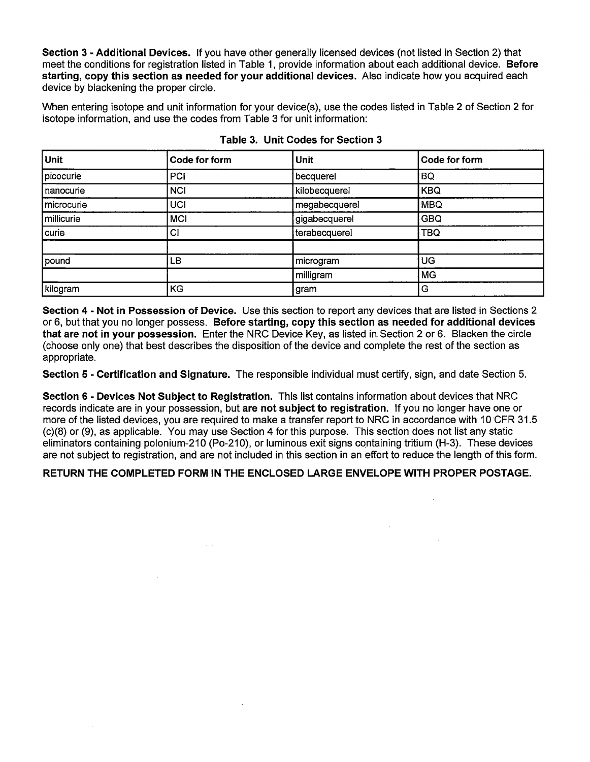**Section 3** - **Additional Devices.** If you have other generally licensed devices (not listed in Section 2) that meet the conditions for registration listed in Table 1, provide information about each additional device. **Before starting, copy this section as needed for your additional devices.** Also indicate how you acquired each device by blackening the proper circle.

When entering isotope and unit information for your device(s), use the codes listed in Table 2 of Section 2 for isotope information, and use the codes from Table 3 for unit information:

| Unit       | Code for form | Unit          | Code for form |
|------------|---------------|---------------|---------------|
| picocurie  | PCI           | becquerel     | BQ            |
| nanocurie  | <b>NCI</b>    | kilobecquerel | <b>KBQ</b>    |
| microcurie | UCI           | megabecquerel | <b>MBQ</b>    |
| millicurie | <b>MCI</b>    | gigabecquerel | <b>GBQ</b>    |
| curie      | CI            | terabecquerel | <b>TBQ</b>    |
|            |               |               |               |
| pound      | LB            | microgram     | UG            |
|            |               | milligram     | <b>MG</b>     |
| kilogram   | KG            | gram          | G             |

| Table 3. Unit Codes for Section 3 |  |
|-----------------------------------|--|
|-----------------------------------|--|

**Section 4** - **Not in Possession of Device.** Use this section to report any devices that are listed in Sections 2 or 6, but that you no longer possess. **Before starting, copy this section as needed for additional devices that are not in your possession.** Enter the NRC Device Key, as listed in Section 2 or 6. Blacken the circle (choose only one) that best describes the disposition of the device and complete the rest of the section as appropriate.

**Section 5** - **Certification and Signature.** The responsible individual must certify, sign, and date Section 5.

**Section 6** - **Devices Not Subject to Registration.** This list contains information about devices that NRC records indicate are in your possession, but **are not subject to registration.** If you no longer have one or more of the listed devices, you are required to make a transfer report to NRC in accordance with 10 CFR 31.5 (c)(8) or (9), as applicable. You may use Section 4 for this purpose. This section does not list any static eliminators containing polonium-210 (Po-210), or luminous exit signs containing tritium (H-3). These devices are not subject to registration, and are not included in this section in an effort to reduce the length of this form.

**RETURN THE COMPLETED FORM IN THE ENCLOSED LARGE ENVELOPE WITH PROPER POSTAGE.** 

 $\sim 10^{11}$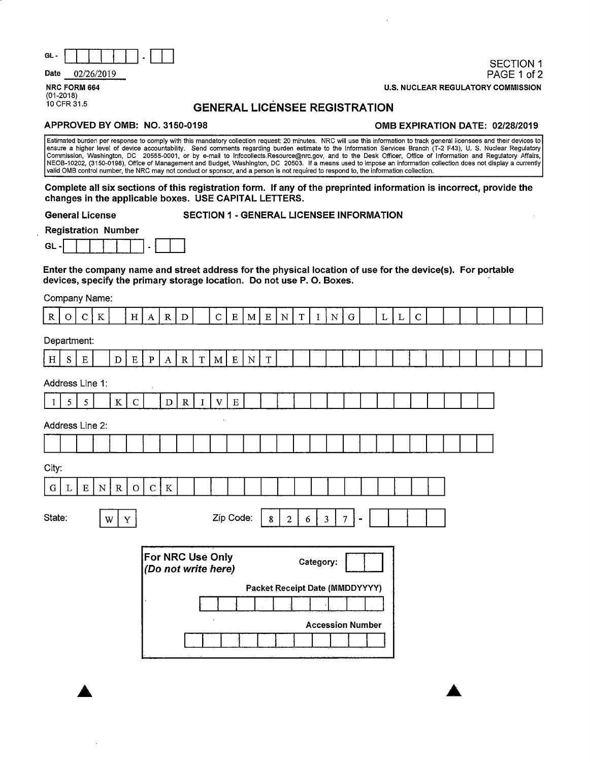| GL- | __ | ----- |  |  |  | <b>SECTION 1</b> |
|-----|----|-------|--|--|--|------------------|
|     |    |       |  |  |  |                  |

**Date** 02/26/2019

**NRC FORM 664**  (01-2018)

# PAGE 1 of 2 **U.S. NUCLEAR REGULATORY COMMISSION**

# **GENERAL LICENSEE REGISTRATION**

### **APPROVED BY 0MB: NO. 3150-0198 0MB EXPIRATION DATE: 02/28/2019**

Estimated burden per response to comply with this mandatory collection request: 20 minutes. NRG will use this information to track general licensees and their devices to ensure a higher level of device accountability. Send comments regarding burden estimate to the Information Services Branch (T-2 F43), U. S. Nuclear Regulatory<br>Commission, Washington, DC 20555-0001, or by e-mail to Infoco NEOB-10202, (3150-0198), Office of Management and Budget, Washington, DC 20503. If a means used to impose an information collection does not display a currently valid 0MB control number, the NRG may not conduct or sponsor, and a person is not required to respond to, the information collection.

**Complete all six sections of this registration form. If any of the preprinted information is incorrect, provide the changes in the applicable boxes. USE CAPITAL LETTERS.** 

**General License** 

### **SECTION 1** - **GENERAL LICENSEE INFORMATION**

**Registration Number** 

|--|--|--|--|--|--|--|--|--|--|--|

**Enter the company name and street address for the physical location of use for the device(s). For portable devices, specify the primary storage location. Do not use P. 0. Boxes.** 

Company Name:

| R               | $\overline{O}$  |                | $C \mid K$  |             | H            |              | $A \mid R \mid D$ |                                         |          |              |             |           |             | C   E   M   E   N   T   I |   |           | N                       | ${\bf G}$                      |                | L L | $\mathbf C$ |  |  |  |  |
|-----------------|-----------------|----------------|-------------|-------------|--------------|--------------|-------------------|-----------------------------------------|----------|--------------|-------------|-----------|-------------|---------------------------|---|-----------|-------------------------|--------------------------------|----------------|-----|-------------|--|--|--|--|
| Department:     |                 |                |             |             |              |              |                   |                                         |          |              |             |           |             |                           |   |           |                         |                                |                |     |             |  |  |  |  |
| H               | ${\bf S}$       | ${\bf E}$      |             | $\mathbf D$ | $\mathbf{E}$ | $\, {\bf p}$ | $\bf{A}$          | $\mathbb R$                             | T        | $\mathbf{M}$ | $\mathbf E$ | ${\bf N}$ | $\mathbf T$ |                           |   |           |                         |                                |                |     |             |  |  |  |  |
| Address Line 1: |                 |                |             |             |              |              |                   |                                         |          |              |             |           |             |                           |   |           |                         |                                |                |     |             |  |  |  |  |
| -1              | $5\overline{)}$ | $\mathfrak{S}$ |             | $\bf K$     | $\mathbf C$  |              | $\mathbf D$       | ${\bf R}$                               | $\bf{I}$ | $\mathbf V$  | $\mathbf E$ |           |             |                           |   |           |                         |                                |                |     |             |  |  |  |  |
| Address Line 2: |                 |                |             |             |              |              |                   |                                         |          | $\bullet$    |             |           |             |                           |   |           |                         |                                |                |     |             |  |  |  |  |
|                 |                 |                |             |             |              |              |                   |                                         |          |              |             |           |             |                           |   |           |                         |                                |                |     |             |  |  |  |  |
| City:           |                 |                |             |             |              |              |                   |                                         |          |              |             |           |             |                           |   |           |                         |                                |                |     |             |  |  |  |  |
| $\mathbf G$     | L               | $\mathbf E$    | $\mathbf N$ | $\mathbf R$ | $\mathbf O$  | $\mathbf C$  | $\rm K$           |                                         |          |              |             |           |             |                           |   |           |                         |                                |                |     |             |  |  |  |  |
| State:          |                 |                |             | W           | $\mathbf Y$  |              |                   |                                         |          |              | Zip Code:   |           | $\bf{8}$    | $\overline{2}$            | 6 |           | $\overline{\mathbf{3}}$ | 7 <sup>1</sup>                 | $\blacksquare$ |     |             |  |  |  |  |
|                 |                 |                |             |             |              |              |                   | For NRC Use Only<br>(Do not write here) |          |              |             |           |             |                           |   | Category: |                         |                                |                |     |             |  |  |  |  |
|                 |                 |                |             |             |              |              |                   |                                         |          |              |             |           |             |                           |   |           |                         | Packet Receipt Date (MMDDYYYY) |                |     |             |  |  |  |  |
|                 |                 |                |             |             |              |              |                   |                                         |          |              |             |           |             |                           |   |           |                         | <b>Accession Number</b>        |                |     |             |  |  |  |  |
|                 |                 |                |             |             |              |              |                   |                                         |          |              |             |           |             |                           |   |           |                         |                                |                |     |             |  |  |  |  |
|                 |                 |                |             |             |              |              |                   |                                         |          |              |             |           |             |                           |   |           |                         |                                |                |     |             |  |  |  |  |
|                 |                 |                |             |             |              |              |                   |                                         |          |              |             |           |             |                           |   |           |                         |                                |                |     |             |  |  |  |  |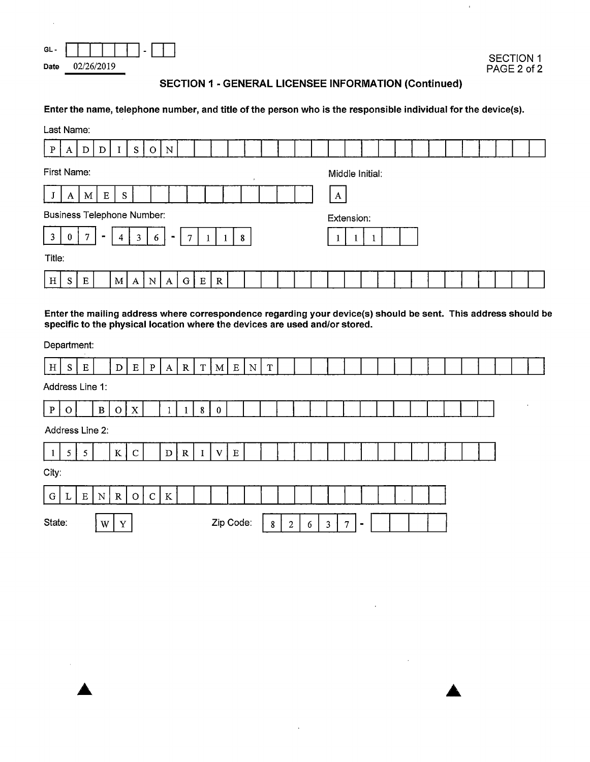| œ۱   |            |  |
|------|------------|--|
| Date | 02/26/2019 |  |

 $\bar{\bar{1}}$ 

# **SECTION 1** - **GENERAL LICENSEE INFORMATION (Continued)**

## **Enter the name, telephone number, and title of the person who is the responsible individual for the device(s).**

|              |                                         | Last Name:<br>N<br>S<br>D<br>D<br>Ω |  |   |   |   |        |   |   |             |                 |  |  |  |  |   |                 |  |  |  |  |  |  |  |
|--------------|-----------------------------------------|-------------------------------------|--|---|---|---|--------|---|---|-------------|-----------------|--|--|--|--|---|-----------------|--|--|--|--|--|--|--|
| $\mathbf{P}$ | A                                       |                                     |  |   |   |   |        |   |   |             |                 |  |  |  |  |   |                 |  |  |  |  |  |  |  |
|              | First Name:                             |                                     |  |   |   |   |        |   |   |             |                 |  |  |  |  |   | Middle Initial: |  |  |  |  |  |  |  |
|              | $\mathbf E$<br>M <sub>l</sub><br>S<br>A |                                     |  |   |   |   |        |   |   |             |                 |  |  |  |  | A |                 |  |  |  |  |  |  |  |
|              | <b>Business Telephone Number:</b>       |                                     |  |   |   |   |        |   |   |             |                 |  |  |  |  |   | Extension:      |  |  |  |  |  |  |  |
| 3            | 0                                       | 7                                   |  | 4 | 3 | 6 | $\sim$ | 7 |   |             | $8\phantom{.}8$ |  |  |  |  |   |                 |  |  |  |  |  |  |  |
| Title:       |                                         |                                     |  |   |   |   |        |   |   |             |                 |  |  |  |  |   |                 |  |  |  |  |  |  |  |
| H            | $S^{\dagger}$                           | ${\bf E}$                           |  | M | A | N | A      | G | E | $\mathbf R$ |                 |  |  |  |  |   |                 |  |  |  |  |  |  |  |

**Enter the mailing address where correspondence regarding your device(s) should be sent. This address should be specific to the physical location where the devices are used and/or stored.** 

Department:

| H               | S.          | $\mathbf E$ |                 | D              | E            | $\mathbf{p}$ | $\mathbf{A}$ | R           | $\mathbf T$  | M <sub>l</sub> | E         | ${\bf N}$ | $\mathbf T$ |                |   |   |                |                |         |  |  |  |  |
|-----------------|-------------|-------------|-----------------|----------------|--------------|--------------|--------------|-------------|--------------|----------------|-----------|-----------|-------------|----------------|---|---|----------------|----------------|---------|--|--|--|--|
| Address Line 1: |             |             |                 |                |              |              |              |             |              |                |           |           |             |                |   |   |                |                |         |  |  |  |  |
| $\mathbf{P}$    | $\Omega$    |             | B               | $\overline{O}$ | $\mathbf{X}$ |              |              |             | 8            | $\bf{0}$       |           |           |             |                |   |   |                |                |         |  |  |  |  |
|                 |             |             | Address Line 2: |                |              |              |              |             |              |                |           |           |             |                |   |   |                |                |         |  |  |  |  |
|                 | $5^{\circ}$ | 5           |                 | $\bf K$        | $\mathbf C$  |              | D            | $\mathbf R$ | $\mathbf{I}$ | $\mathbf{V}$   | Ε         |           |             |                |   |   |                |                |         |  |  |  |  |
| City:           |             |             |                 |                |              |              |              |             |              |                |           |           |             |                |   |   |                |                |         |  |  |  |  |
| $\mathbf G$     | L           | $\mathbf E$ | N               | $\mathbf R$    | $\mathbf{O}$ | $\mathbf C$  | $\,$ K       |             |              |                |           |           |             |                |   |   |                |                | $\cdot$ |  |  |  |  |
| State:          |             |             | W               | Y              |              |              |              |             |              |                | Zip Code: |           | 8           | $\overline{2}$ | 6 | 3 | $\overline{7}$ | $\blacksquare$ |         |  |  |  |  |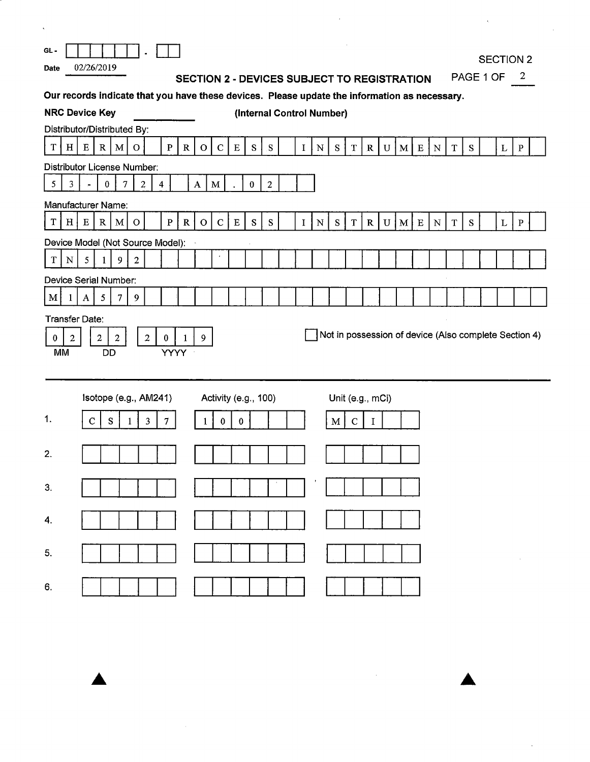| $\boldsymbol{\lambda}$                                                                                                                                                                                                                                                                        |                                                           |
|-----------------------------------------------------------------------------------------------------------------------------------------------------------------------------------------------------------------------------------------------------------------------------------------------|-----------------------------------------------------------|
| $GL -$<br>02/26/2019<br><b>Date</b><br><b>SECTION 2 - DEVICES SUBJECT TO REGISTRATION</b>                                                                                                                                                                                                     | <b>SECTION 2</b><br>PAGE 1 OF<br>$\overline{\phantom{a}}$ |
| Our records indicate that you have these devices. Please update the information as necessary.                                                                                                                                                                                                 |                                                           |
| <b>NRC Device Key</b><br>(Internal Control Number)                                                                                                                                                                                                                                            |                                                           |
| Distributor/Distributed By:<br>$\mathbf C$<br>${\bf S}$<br>$\mathbf S$<br>T<br>H<br>E<br>R <sub>1</sub><br>$\mathbf{M}$<br>$\mathbf{P}$<br>$\mathbf{R}$<br>S<br>$\mathbf{O}$<br>$\overline{O}$<br>E<br>$\mathbf I$<br>${\bf N}$<br>$\mathbf T$<br>$\mathbf{R}$<br>U<br>M   E  <br>${\bf N}$   | $\mathbf T$<br>S<br>L<br>$\, {\bf P}$                     |
| Distributor License Number:                                                                                                                                                                                                                                                                   |                                                           |
| 5<br>3 <sup>7</sup><br>$\overline{7}$<br>$\overline{a}$<br>$\mathbf{0}$<br>$\overline{4}$<br>$\mathbf{A}$<br>$\mathbf M$<br>$\theta$<br>$\overline{2}$<br>$\blacksquare$                                                                                                                      |                                                           |
| Manufacturer Name:<br>$\mathbf T$<br>$H \vert$<br>$\mathbf{P}$<br>$\mathbf R$<br>$\mathbf C$<br>${\bf S}$<br>${\bf S}$<br>S<br>$\mathbf E$<br>R<br>$\mathbf{O}$<br>$\bf E$<br>${\bf N}$<br>$\mathbf T$<br>M E<br>$\mathbf{M}$<br>$\mathbf O$<br>$\mathbf I$<br>$\mathbf{R}$<br>U<br>${\bf N}$ | ${\bf S}$<br>$\mathbf L$<br>$\, {\bf P}$<br>$\mathbf T$   |
| Device Model (Not Source Model):                                                                                                                                                                                                                                                              |                                                           |
| $\mathbf T$<br>N<br>5<br>9<br>$\overline{2}$<br>1                                                                                                                                                                                                                                             |                                                           |
| Device Serial Number:<br>5 <sup>5</sup><br>$\mathbf M$<br>$\overline{7}$<br>9<br>A<br>1                                                                                                                                                                                                       |                                                           |
| <b>Transfer Date:</b><br>Not in possession of device (Also complete Section 4)<br>$\overline{2}$<br>$\mathbf{2}$<br>$\overline{a}$<br>$\boldsymbol{2}$<br>$\mathbf{0}$<br>9<br>$\bf{0}$<br>1<br><b>MM</b><br><b>YYYY</b><br>DD                                                                |                                                           |
| Isotope (e.g., AM241)<br>Activity (e.g., 100)<br>Unit (e.g., mCi)                                                                                                                                                                                                                             |                                                           |
| 1.<br>$\mathbf C$<br>${\bf S}$<br>${\bf C}$<br>3<br>$\mathcal{T}$<br>$\bf{0}$<br>$\mathbf{0}$<br>M<br>I<br>1                                                                                                                                                                                  |                                                           |
| 2.                                                                                                                                                                                                                                                                                            |                                                           |
| 3.                                                                                                                                                                                                                                                                                            |                                                           |
| 4.                                                                                                                                                                                                                                                                                            |                                                           |
| 5.                                                                                                                                                                                                                                                                                            |                                                           |
| 6.                                                                                                                                                                                                                                                                                            |                                                           |

 $\Delta \sim 1$ 

 $\mathcal{L}(\mathcal{A})$  .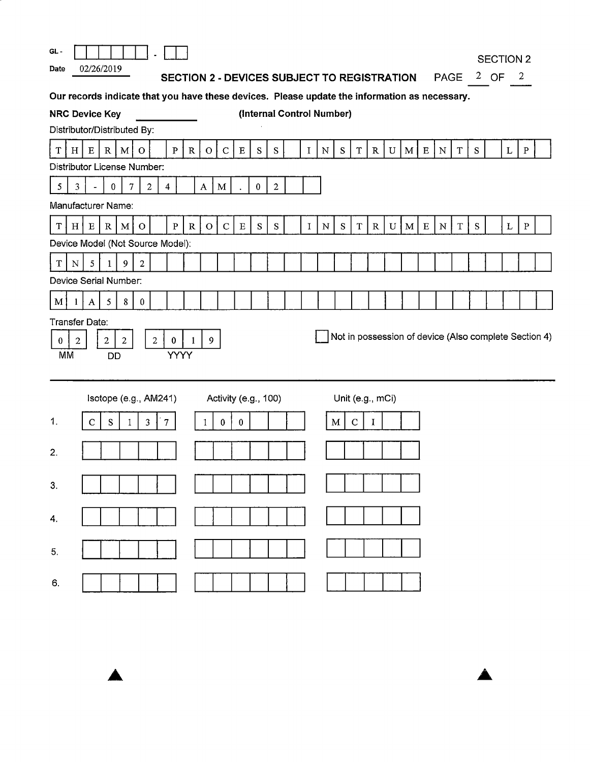| GL -                        |                        |              |                                  |                |                |                |                         |              |                                                    |                      |          |           |            |              |                           |           |                  |             |           |              |             |                                                                                               |             |           | <b>SECTION 2</b> |                          |              |                                                       |
|-----------------------------|------------------------|--------------|----------------------------------|----------------|----------------|----------------|-------------------------|--------------|----------------------------------------------------|----------------------|----------|-----------|------------|--------------|---------------------------|-----------|------------------|-------------|-----------|--------------|-------------|-----------------------------------------------------------------------------------------------|-------------|-----------|------------------|--------------------------|--------------|-------------------------------------------------------|
| Date                        |                        |              | 02/26/2019                       |                |                |                |                         |              | <b>SECTION 2 - DEVICES SUBJECT TO REGISTRATION</b> |                      |          |           |            |              |                           |           |                  |             |           |              |             | <b>PAGE</b>                                                                                   |             |           | $2$ OF           | $\overline{\phantom{a}}$ |              |                                                       |
|                             |                        |              |                                  |                |                |                |                         |              |                                                    |                      |          |           |            |              |                           |           |                  |             |           |              |             | Our records indicate that you have these devices. Please update the information as necessary. |             |           |                  |                          |              |                                                       |
| <b>NRC Device Key</b>       |                        |              |                                  |                |                |                |                         |              |                                                    |                      |          |           |            |              | (Internal Control Number) |           |                  |             |           |              |             |                                                                                               |             |           |                  |                          |              |                                                       |
| Distributor/Distributed By: |                        |              |                                  |                |                |                |                         |              |                                                    |                      |          |           |            |              |                           |           |                  |             |           |              |             |                                                                                               |             |           |                  |                          |              |                                                       |
| $\mathbf T$                 | H                      | ${\bf E}$    | R                                | M              | $\mathbf{O}$   |                | $\mathbf{P}$            | R            | $\circ$                                            | ${\bf C}$            | $\,$ E   | ${\bf S}$ | S          | $\mathbf I$  | ${\bf N}$                 | S         | $\mathbf T$      | $\mathbf R$ | ${\bf U}$ | $\mathbf{M}$ | $\mathbf E$ | ${\bf N}$                                                                                     | $\mathbf T$ | ${\bf S}$ |                  | $\bf L$                  | $\, {\bf P}$ |                                                       |
| Distributor License Number: |                        |              |                                  |                |                |                |                         |              |                                                    |                      |          |           |            |              |                           |           |                  |             |           |              |             |                                                                                               |             |           |                  |                          |              |                                                       |
| $\overline{5}$              | 3                      |              | $\bf{0}$                         | $\tau$         | $\overline{c}$ |                | $\overline{\mathbf{4}}$ |              | $\bf{A}$                                           | $\mathbf M$          |          | $\pmb{0}$ | $\sqrt{2}$ |              |                           |           |                  |             |           |              |             |                                                                                               |             |           |                  |                          |              |                                                       |
|                             |                        |              | Manufacturer Name:               |                |                |                |                         |              |                                                    |                      |          |           |            |              |                           |           |                  |             |           |              |             |                                                                                               |             |           |                  |                          |              |                                                       |
| T                           | H <sub>1</sub>         | $\mathbf E$  | R                                | $\mathbf{M}$   | $\circ$        |                | $\, {\bf P}$            | $\mathbb{R}$ | $\circ$                                            | $\mathbf{C}$         | E        | ${\bf S}$ | ${\bf S}$  | $\mathbf{I}$ | ${\bf N}$                 | ${\bf S}$ | $\mathbf T$      | $\mathbf R$ | ${\bf U}$ | M            | ${\bf E}$   | ${\bf N}$                                                                                     | $\mathbf T$ | ${\bf S}$ |                  | $\mathbf L$              | $\, {\bf P}$ |                                                       |
|                             |                        |              | Device Model (Not Source Model): |                |                |                |                         |              |                                                    |                      |          |           |            |              |                           |           |                  |             |           |              |             |                                                                                               |             |           |                  |                          |              |                                                       |
| $\mathbf T$                 | N                      | 5            | $\mathbf{1}$                     | 9              | 2              |                |                         |              |                                                    |                      |          |           |            |              |                           |           |                  |             |           |              |             |                                                                                               |             |           |                  |                          |              |                                                       |
|                             |                        |              | Device Serial Number:            |                |                |                |                         |              |                                                    |                      |          |           |            |              |                           |           |                  |             |           |              |             |                                                                                               |             |           |                  |                          |              |                                                       |
| M                           | 1                      | $\mathbf{A}$ | $5\overline{)}$                  | 8              | $\bf{0}$       |                |                         |              |                                                    |                      |          |           |            |              |                           |           |                  |             |           |              |             |                                                                                               |             |           |                  |                          |              |                                                       |
| Transfer Date:<br>0         | $\boldsymbol{2}$<br>MM |              | $\overline{2}$<br><b>DD</b>      | $\overline{2}$ |                | $\overline{2}$ | $\bf{0}$<br>YYYY        | 1            | 9                                                  |                      |          |           |            |              |                           |           |                  |             |           |              |             |                                                                                               |             |           |                  |                          |              | Not in possession of device (Also complete Section 4) |
|                             |                        |              | Isotope (e.g., AM241)            |                |                |                |                         |              |                                                    | Activity (e.g., 100) |          |           |            |              |                           |           | Unit (e.g., mCi) |             |           |              |             |                                                                                               |             |           |                  |                          |              |                                                       |
| 1.                          |                        | $\mathbf C$  | ${\bf S}$                        | $\mathbf{1}$   | $\mathbf{3}$   |                | $\overline{7}$          |              | 1                                                  | $\bf{0}$             | $\bf{0}$ |           |            |              |                           | M         | $\mathbf C$      | $\bf{I}$    |           |              |             |                                                                                               |             |           |                  |                          |              |                                                       |
| 2.                          |                        |              |                                  |                |                |                |                         |              |                                                    |                      |          |           |            |              |                           |           |                  |             |           |              |             |                                                                                               |             |           |                  |                          |              |                                                       |
| 3.                          |                        |              |                                  |                |                |                |                         |              |                                                    |                      |          |           |            |              |                           |           |                  |             |           |              |             |                                                                                               |             |           |                  |                          |              |                                                       |
| 4.                          |                        |              |                                  |                |                |                |                         |              |                                                    |                      |          |           |            |              |                           |           |                  |             |           |              |             |                                                                                               |             |           |                  |                          |              |                                                       |
| 5.                          |                        |              |                                  |                |                |                |                         |              |                                                    |                      |          |           |            |              |                           |           |                  |             |           |              |             |                                                                                               |             |           |                  |                          |              |                                                       |
| 6.                          |                        |              |                                  |                |                |                |                         |              |                                                    |                      |          |           |            |              |                           |           |                  |             |           |              |             |                                                                                               |             |           |                  |                          |              |                                                       |

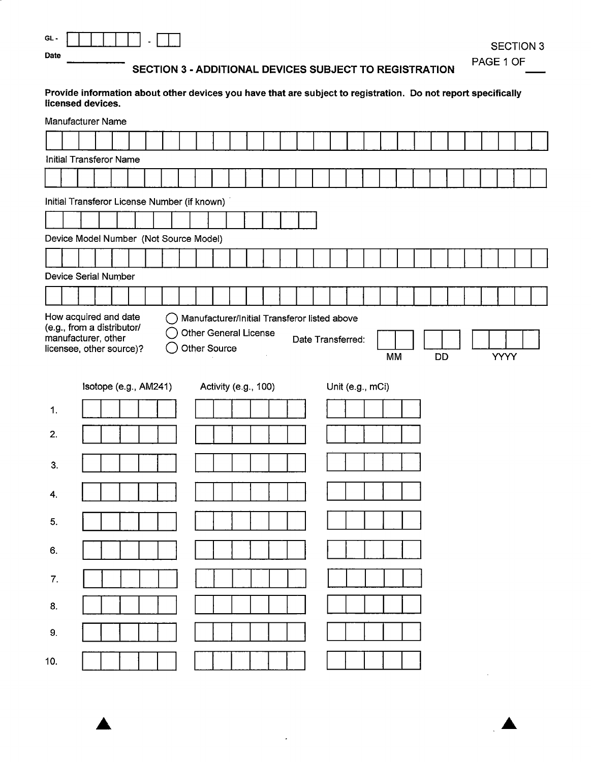| $\sim$<br>÷. |  |  |  | - |  |
|--------------|--|--|--|---|--|
| Date         |  |  |  |   |  |

**SECTION 3** PAGE 1 OF

SECTION 3 - ADDITIONAL DEVICES SUBJECT TO REGISTRATION

Provide information about other devices you have that are subject to registration. Do not report specifically licensed devices.

|     | Manufacturer Name                                                                                      |  |  |  |              |                                                      |  |  |                                       |  |           |  |    |  |  |             |  |
|-----|--------------------------------------------------------------------------------------------------------|--|--|--|--------------|------------------------------------------------------|--|--|---------------------------------------|--|-----------|--|----|--|--|-------------|--|
|     |                                                                                                        |  |  |  |              |                                                      |  |  |                                       |  |           |  |    |  |  |             |  |
|     | Initial Transferor Name                                                                                |  |  |  |              |                                                      |  |  |                                       |  |           |  |    |  |  |             |  |
|     |                                                                                                        |  |  |  |              |                                                      |  |  |                                       |  |           |  |    |  |  |             |  |
|     | Initial Transferor License Number (if known)                                                           |  |  |  |              |                                                      |  |  |                                       |  |           |  |    |  |  |             |  |
|     |                                                                                                        |  |  |  |              |                                                      |  |  |                                       |  |           |  |    |  |  |             |  |
|     | Device Model Number (Not Source Model)                                                                 |  |  |  |              |                                                      |  |  |                                       |  |           |  |    |  |  |             |  |
|     |                                                                                                        |  |  |  |              |                                                      |  |  |                                       |  |           |  |    |  |  |             |  |
|     | Device Serial Number                                                                                   |  |  |  |              |                                                      |  |  |                                       |  |           |  |    |  |  |             |  |
|     |                                                                                                        |  |  |  |              |                                                      |  |  |                                       |  |           |  |    |  |  |             |  |
|     | (e.g., from a distributor/<br>manufacturer, other<br>licensee, other source)?<br>Isotope (e.g., AM241) |  |  |  | Other Source | <b>Other General License</b><br>Activity (e.g., 100) |  |  | Date Transferred:<br>Unit (e.g., mCi) |  | <b>MM</b> |  | DD |  |  | <b>YYYY</b> |  |
| 1.  |                                                                                                        |  |  |  |              |                                                      |  |  |                                       |  |           |  |    |  |  |             |  |
| 2.  |                                                                                                        |  |  |  |              |                                                      |  |  |                                       |  |           |  |    |  |  |             |  |
| 3.  |                                                                                                        |  |  |  |              |                                                      |  |  |                                       |  |           |  |    |  |  |             |  |
| 4.  |                                                                                                        |  |  |  |              |                                                      |  |  |                                       |  |           |  |    |  |  |             |  |
| 5.  |                                                                                                        |  |  |  |              |                                                      |  |  |                                       |  |           |  |    |  |  |             |  |
| 6.  |                                                                                                        |  |  |  |              |                                                      |  |  |                                       |  |           |  |    |  |  |             |  |
| 7.  |                                                                                                        |  |  |  |              |                                                      |  |  |                                       |  |           |  |    |  |  |             |  |
| 8.  |                                                                                                        |  |  |  |              |                                                      |  |  |                                       |  |           |  |    |  |  |             |  |
| 9.  |                                                                                                        |  |  |  |              |                                                      |  |  |                                       |  |           |  |    |  |  |             |  |
| 10. |                                                                                                        |  |  |  |              |                                                      |  |  |                                       |  |           |  |    |  |  |             |  |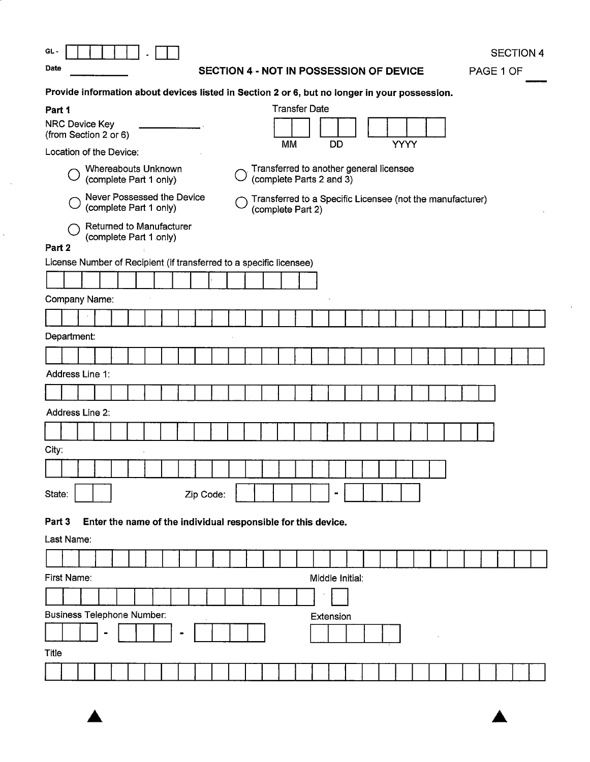$\sim$ 

 $\hat{r}$ 

# **Date SECTION 4** - **NOT IN POSSESSION OF DEVICE**

SECTION 4

PAGE 1 OF

| Provide information about devices listed in Section 2 or 6, but no longer in your possession.                                          |  |
|----------------------------------------------------------------------------------------------------------------------------------------|--|
| <b>Transfer Date</b><br>Part 1                                                                                                         |  |
| <b>NRC Device Key</b><br>(from Section 2 or 6)<br>МM<br>DD<br><b>YYYY</b>                                                              |  |
| Location of the Device:                                                                                                                |  |
| Transferred to another general licensee<br>Whereabouts Unknown<br>(complete Parts 2 and 3)<br>(complete Part 1 only)                   |  |
| Never Possessed the Device<br>Transferred to a Specific Licensee (not the manufacturer)<br>(complete Part 1 only)<br>(complete Part 2) |  |
| <b>Returned to Manufacturer</b><br>(complete Part 1 only)                                                                              |  |
| Part 2                                                                                                                                 |  |
| License Number of Recipient (if transferred to a specific licensee)                                                                    |  |
|                                                                                                                                        |  |
| Company Name:                                                                                                                          |  |
|                                                                                                                                        |  |
| Department:                                                                                                                            |  |
|                                                                                                                                        |  |
| Address Line 1:                                                                                                                        |  |
|                                                                                                                                        |  |
| Address Line 2:                                                                                                                        |  |
|                                                                                                                                        |  |
| City:                                                                                                                                  |  |
|                                                                                                                                        |  |
| State:<br>Zip Code:<br>▬                                                                                                               |  |
|                                                                                                                                        |  |
| Enter the name of the individual responsible for this device.<br>Part 3                                                                |  |
| Last Name:                                                                                                                             |  |
|                                                                                                                                        |  |
| First Name:<br>Middle Initial:                                                                                                         |  |
|                                                                                                                                        |  |
| <b>Business Telephone Number:</b><br>Extension                                                                                         |  |
|                                                                                                                                        |  |
| Title                                                                                                                                  |  |
|                                                                                                                                        |  |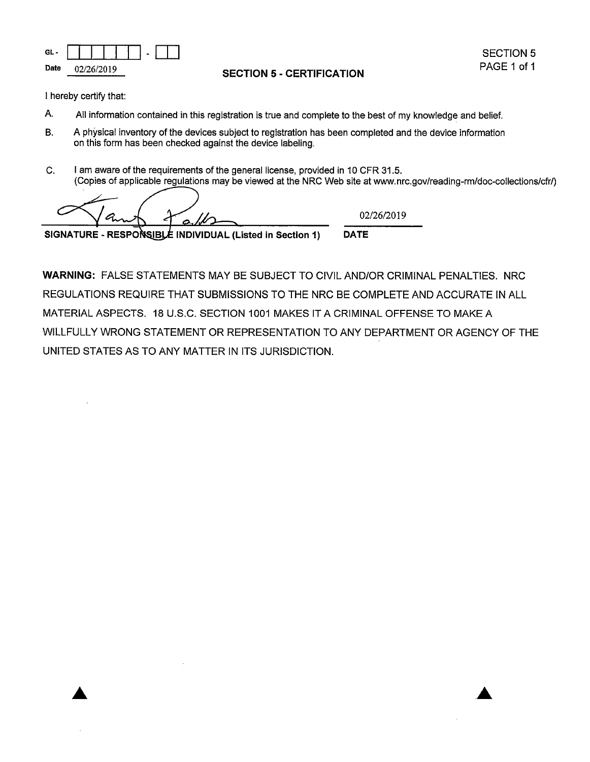

**SECTION 5 - CERTIFICATION** 

I hereby certify that:

- A. All information contained in this registration is true and complete to the best of my knowledge and belief.
- B. A physical inventory of the devices subject to registration has been completed and the device information on this form has been checked against the device labeling.
- C. I am aware of the requirements of the general license, provided in 10 CFR 31.5. (Copies of applicable regulations may be viewed at the NRC Web site at www.nrc.gov/reading-rm/doc-collections/cfr/)

A.  $\sigma$ 

02/26/2019

**DATE** 

SIGNATURE - RESPONSIBLE INDIVIDUAL (Listed in Section 1)

**WARNING:** FALSE STATEMENTS MAY BE SUBJECT TO CIVIL AND/OR CRIMINAL PENALTIES. NRC REGULATIONS REQUIRE THAT SUBMISSIONS TO THE NRC BE COMPLETE AND ACCURATE IN ALL MATERIAL ASPECTS. 18 U.S.C. SECTION 1001 MAKES IT A CRIMINAL OFFENSE TO MAKE A WILLFULLY WRONG STATEMENT OR REPRESENTATION TO ANY DEPARTMENT OR AGENCY OF THE UNITED STATES AS TO ANY MATTER IN ITS JURISDICTION.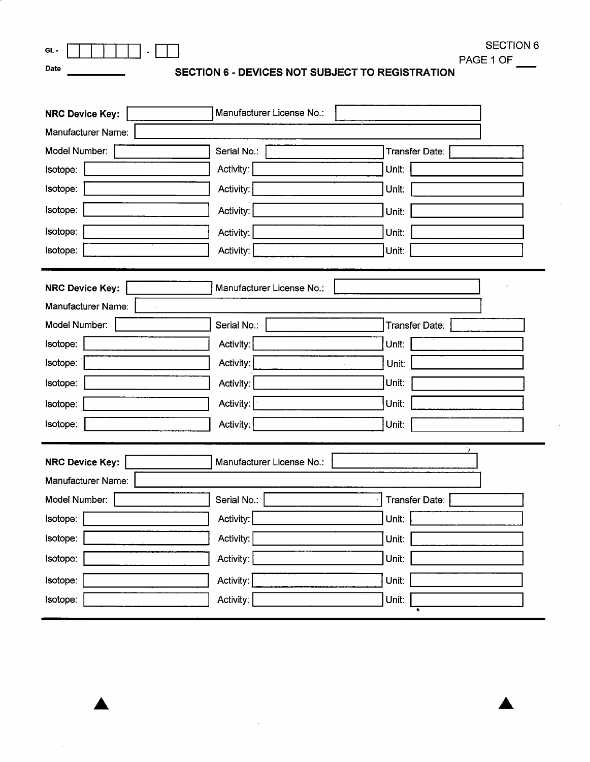|      | GL-                                             | SECTION 6 |
|------|-------------------------------------------------|-----------|
|      |                                                 | PAGE 1 OF |
| Date | SECTION 6 - DEVICES NOT SUBJECT TO REGISTRATION |           |

 $\mathbb{R}^2$ 

| <b>NRC Device Key:</b>                                                          | Manufacturer License No.: |                |  |  |  |  |  |  |  |  |  |
|---------------------------------------------------------------------------------|---------------------------|----------------|--|--|--|--|--|--|--|--|--|
| Manufacturer Name:                                                              |                           |                |  |  |  |  |  |  |  |  |  |
| Model Number:                                                                   | Serial No.:               | Transfer Date: |  |  |  |  |  |  |  |  |  |
| Isotope:                                                                        | Activity:                 | Unit:          |  |  |  |  |  |  |  |  |  |
| Isotope:                                                                        | Activity:                 | Unit:          |  |  |  |  |  |  |  |  |  |
| Isotope:                                                                        | Activity:                 | Unit:          |  |  |  |  |  |  |  |  |  |
| Isotope:                                                                        | Activity:                 | Unit:          |  |  |  |  |  |  |  |  |  |
| Isotope:                                                                        | Activity:                 | Unit:          |  |  |  |  |  |  |  |  |  |
| <b>NRC Device Key:</b><br>Manufacturer License No.:<br>Manufacturer Name:       |                           |                |  |  |  |  |  |  |  |  |  |
| Model Number:                                                                   | Serial No.:               | Transfer Date: |  |  |  |  |  |  |  |  |  |
| Isotope:                                                                        | Activity:                 | Unit:          |  |  |  |  |  |  |  |  |  |
| Isotope:                                                                        | Activity:                 | Unit:          |  |  |  |  |  |  |  |  |  |
| Isotope:                                                                        | Activity:                 | Unit:          |  |  |  |  |  |  |  |  |  |
| Isotope:                                                                        | Activity:                 | Unit:          |  |  |  |  |  |  |  |  |  |
| Isotope:                                                                        | Activity:                 | Unit:          |  |  |  |  |  |  |  |  |  |
| ٠,<br><b>NRC Device Key:</b><br>Manufacturer License No.:<br>Manufacturer Name: |                           |                |  |  |  |  |  |  |  |  |  |
| Model Number:                                                                   | Serial No.:               | Transfer Date: |  |  |  |  |  |  |  |  |  |
| Isotope:                                                                        | Activity:                 | Unit:          |  |  |  |  |  |  |  |  |  |
| Isotope:                                                                        | Activity:                 | Unit:          |  |  |  |  |  |  |  |  |  |
| Isotope:                                                                        | Activity:                 | Unit:          |  |  |  |  |  |  |  |  |  |
| Isotope:                                                                        | Activity:                 | Unit:          |  |  |  |  |  |  |  |  |  |
| Isotope:                                                                        | Activity:                 | Unit:          |  |  |  |  |  |  |  |  |  |

 $\mathcal{L}^{\mathcal{A}}$